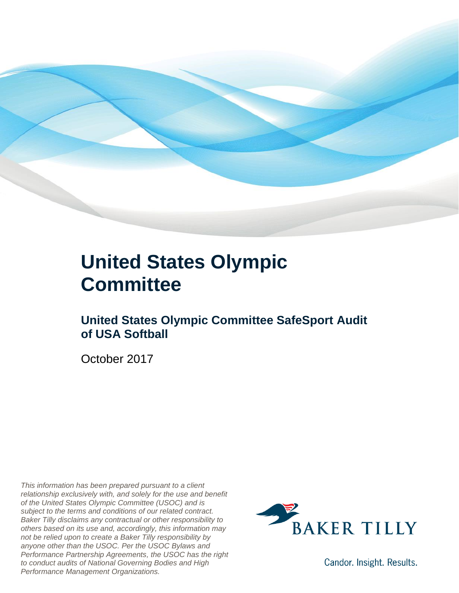

### **United States Olympic Committee**

### **United States Olympic Committee SafeSport Audit of USA Softball**

October 2017

*This information has been prepared pursuant to a client relationship exclusively with, and solely for the use and benefit of the United States Olympic Committee (USOC) and is subject to the terms and conditions of our related contract. Baker Tilly disclaims any contractual or other responsibility to others based on its use and, accordingly, this information may not be relied upon to create a Baker Tilly responsibility by anyone other than the USOC. Per the USOC Bylaws and Performance Partnership Agreements, the USOC has the right to conduct audits of National Governing Bodies and High Performance Management Organizations.*



Candor. Insight. Results.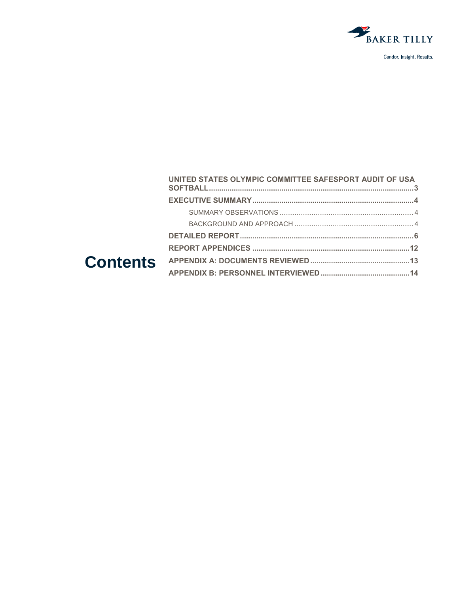

| UNITED STATES OLYMPIC COMMITTEE SAFESPORT AUDIT OF USA |  |
|--------------------------------------------------------|--|
|                                                        |  |
|                                                        |  |
|                                                        |  |
|                                                        |  |
|                                                        |  |
|                                                        |  |
|                                                        |  |
|                                                        |  |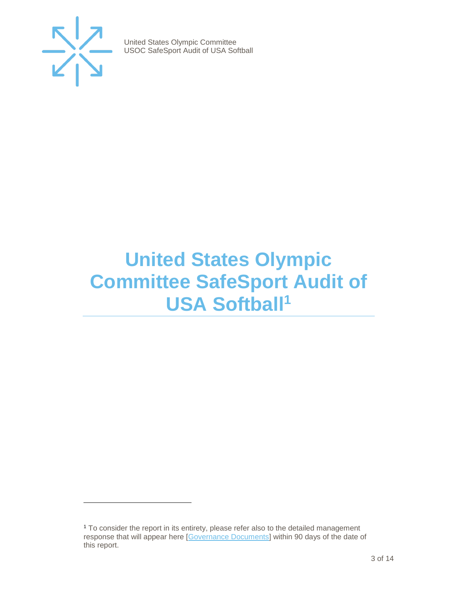

 $\overline{a}$ 

United States Olympic Committee USOC SafeSport Audit of USA Softball

## <span id="page-2-0"></span>**United States Olympic Committee SafeSport Audit of USA Softball<sup>1</sup>**

<sup>1</sup> To consider the report in its entirety, please refer also to the detailed management response that will appear here [\[Governance Documents\]](https://www.teamusa.org/Footer/Legal/Governance-Documents) within 90 days of the date of this report.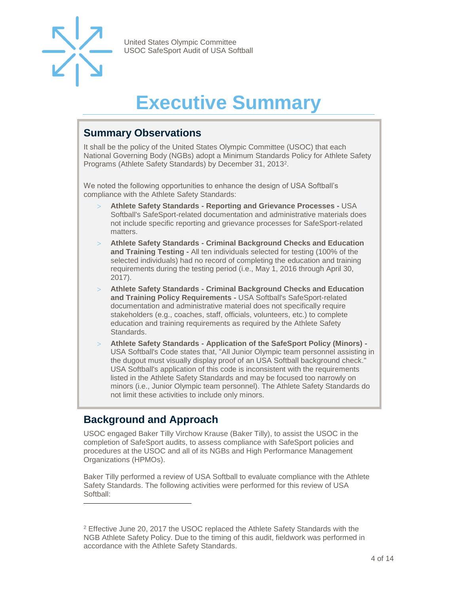

## **Executive Summary**

### <span id="page-3-1"></span><span id="page-3-0"></span>**Summary Observations**

It shall be the policy of the United States Olympic Committee (USOC) that each National Governing Body (NGBs) adopt a Minimum Standards Policy for Athlete Safety Programs (Athlete Safety Standards) by December 31, 2013 2 .

We noted the following opportunities to enhance the design of USA Softball's compliance with the Athlete Safety Standards:

- **Athlete Safety Standards - Reporting and Grievance Processes -** USA Softball's SafeSport-related documentation and administrative materials does not include specific reporting and grievance processes for SafeSport-related matters.
- **Athlete Safety Standards - Criminal Background Checks and Education and Training Testing -** All ten individuals selected for testing (100% of the selected individuals) had no record of completing the education and training requirements during the testing period (i.e., May 1, 2016 through April 30, 2017).
- **Athlete Safety Standards - Criminal Background Checks and Education and Training Policy Requirements -** USA Softball's SafeSport-related documentation and administrative material does not specifically require stakeholders (e.g., coaches, staff, officials, volunteers, etc.) to complete education and training requirements as required by the Athlete Safety Standards.
- **Athlete Safety Standards - Application of the SafeSport Policy (Minors) -** USA Softball's Code states that, "All Junior Olympic team personnel assisting in the dugout must visually display proof of an USA Softball background check." USA Softball's application of this code is inconsistent with the requirements listed in the Athlete Safety Standards and may be focused too narrowly on minors (i.e., Junior Olympic team personnel). The Athlete Safety Standards do not limit these activities to include only minors.

### <span id="page-3-2"></span>**Background and Approach**

l

<span id="page-3-3"></span>USOC engaged Baker Tilly Virchow Krause (Baker Tilly), to assist the USOC in the completion of SafeSport audits, to assess compliance with SafeSport policies and procedures at the USOC and all of its NGBs and High Performance Management Organizations (HPMOs).

Baker Tilly performed a review of USA Softball to evaluate compliance with the Athlete Safety Standards. The following activities were performed for this review of USA Softball:

<sup>&</sup>lt;sup>2</sup> Effective June 20, 2017 the USOC replaced the Athlete Safety Standards with the NGB Athlete Safety Policy. Due to the timing of this audit, fieldwork was performed in accordance with the Athlete Safety Standards.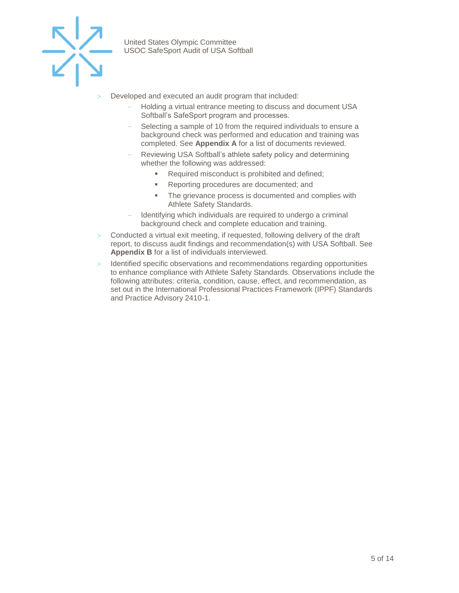

- Developed and executed an audit program that included:
	- Holding a virtual entrance meeting to discuss and document USA Softball's SafeSport program and processes.
	- Selecting a sample of 10 from the required individuals to ensure a background check was performed and education and training was completed. See **Appendix A** for a list of documents reviewed.
	- Reviewing USA Softball's athlete safety policy and determining whether the following was addressed:
		- Required misconduct is prohibited and defined;
		- Reporting procedures are documented; and
		- The grievance process is documented and complies with Athlete Safety Standards.
	- Identifying which individuals are required to undergo a criminal background check and complete education and training.
- Conducted a virtual exit meeting, if requested, following delivery of the draft report, to discuss audit findings and recommendation(s) with USA Softball. See **Appendix B** for a list of individuals interviewed.
- $>$  Identified specific observations and recommendations regarding opportunities to enhance compliance with Athlete Safety Standards. Observations include the following attributes: criteria, condition, cause, effect, and recommendation, as set out in the International Professional Practices Framework (IPPF) Standards and Practice Advisory 2410-1.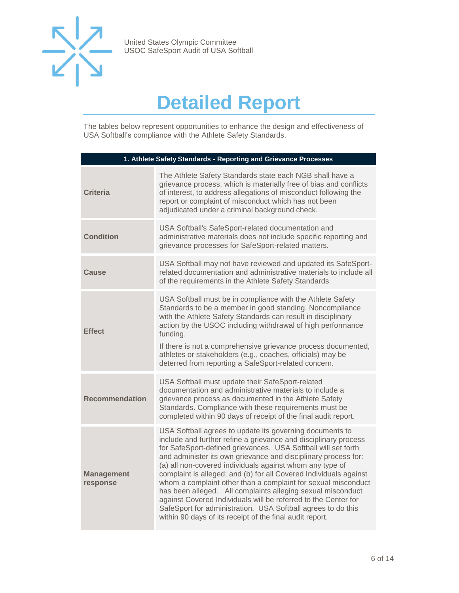

## **Detailed Report**

The tables below represent opportunities to enhance the design and effectiveness of USA Softball's compliance with the Athlete Safety Standards.

| 1. Athlete Safety Standards - Reporting and Grievance Processes |                                                                                                                                                                                                                                                                                                                                                                                                                                                                                                                                                                                                                                                                                                                               |
|-----------------------------------------------------------------|-------------------------------------------------------------------------------------------------------------------------------------------------------------------------------------------------------------------------------------------------------------------------------------------------------------------------------------------------------------------------------------------------------------------------------------------------------------------------------------------------------------------------------------------------------------------------------------------------------------------------------------------------------------------------------------------------------------------------------|
| <b>Criteria</b>                                                 | The Athlete Safety Standards state each NGB shall have a<br>grievance process, which is materially free of bias and conflicts<br>of interest, to address allegations of misconduct following the<br>report or complaint of misconduct which has not been<br>adjudicated under a criminal background check.                                                                                                                                                                                                                                                                                                                                                                                                                    |
| <b>Condition</b>                                                | USA Softball's SafeSport-related documentation and<br>administrative materials does not include specific reporting and<br>grievance processes for SafeSport-related matters.                                                                                                                                                                                                                                                                                                                                                                                                                                                                                                                                                  |
| Cause                                                           | USA Softball may not have reviewed and updated its SafeSport-<br>related documentation and administrative materials to include all<br>of the requirements in the Athlete Safety Standards.                                                                                                                                                                                                                                                                                                                                                                                                                                                                                                                                    |
| <b>Effect</b>                                                   | USA Softball must be in compliance with the Athlete Safety<br>Standards to be a member in good standing. Noncompliance<br>with the Athlete Safety Standards can result in disciplinary<br>action by the USOC including withdrawal of high performance<br>funding.<br>If there is not a comprehensive grievance process documented,<br>athletes or stakeholders (e.g., coaches, officials) may be<br>deterred from reporting a SafeSport-related concern.                                                                                                                                                                                                                                                                      |
| <b>Recommendation</b>                                           | USA Softball must update their SafeSport-related<br>documentation and administrative materials to include a<br>grievance process as documented in the Athlete Safety<br>Standards. Compliance with these requirements must be<br>completed within 90 days of receipt of the final audit report.                                                                                                                                                                                                                                                                                                                                                                                                                               |
| <b>Management</b><br>response                                   | USA Softball agrees to update its governing documents to<br>include and further refine a grievance and disciplinary process<br>for SafeSport-defined grievances. USA Softball will set forth<br>and administer its own grievance and disciplinary process for:<br>(a) all non-covered individuals against whom any type of<br>complaint is alleged; and (b) for all Covered Individuals against<br>whom a complaint other than a complaint for sexual misconduct<br>has been alleged. All complaints alleging sexual misconduct<br>against Covered Individuals will be referred to the Center for<br>SafeSport for administration. USA Softball agrees to do this<br>within 90 days of its receipt of the final audit report. |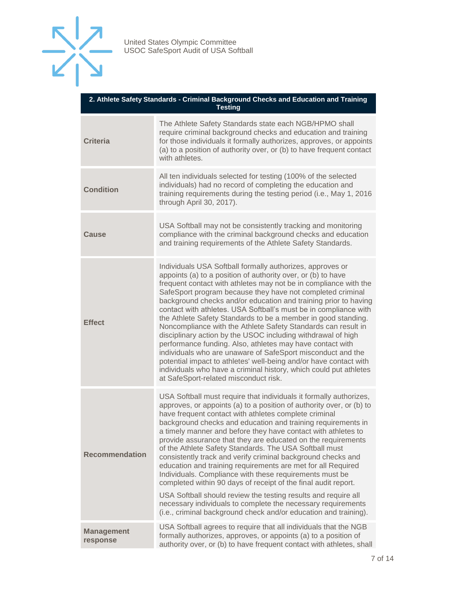

| 2. Athlete Safety Standards - Criminal Background Checks and Education and Training<br><b>Testing</b> |                                                                                                                                                                                                                                                                                                                                                                                                                                                                                                                                                                                                                                                                                                                                                                                                                                                                                                                                   |
|-------------------------------------------------------------------------------------------------------|-----------------------------------------------------------------------------------------------------------------------------------------------------------------------------------------------------------------------------------------------------------------------------------------------------------------------------------------------------------------------------------------------------------------------------------------------------------------------------------------------------------------------------------------------------------------------------------------------------------------------------------------------------------------------------------------------------------------------------------------------------------------------------------------------------------------------------------------------------------------------------------------------------------------------------------|
| <b>Criteria</b>                                                                                       | The Athlete Safety Standards state each NGB/HPMO shall<br>require criminal background checks and education and training<br>for those individuals it formally authorizes, approves, or appoints<br>(a) to a position of authority over, or (b) to have frequent contact<br>with athletes.                                                                                                                                                                                                                                                                                                                                                                                                                                                                                                                                                                                                                                          |
| <b>Condition</b>                                                                                      | All ten individuals selected for testing (100% of the selected<br>individuals) had no record of completing the education and<br>training requirements during the testing period (i.e., May 1, 2016<br>through April 30, 2017).                                                                                                                                                                                                                                                                                                                                                                                                                                                                                                                                                                                                                                                                                                    |
| Cause                                                                                                 | USA Softball may not be consistently tracking and monitoring<br>compliance with the criminal background checks and education<br>and training requirements of the Athlete Safety Standards.                                                                                                                                                                                                                                                                                                                                                                                                                                                                                                                                                                                                                                                                                                                                        |
| <b>Effect</b>                                                                                         | Individuals USA Softball formally authorizes, approves or<br>appoints (a) to a position of authority over, or (b) to have<br>frequent contact with athletes may not be in compliance with the<br>SafeSport program because they have not completed criminal<br>background checks and/or education and training prior to having<br>contact with athletes. USA Softball's must be in compliance with<br>the Athlete Safety Standards to be a member in good standing.<br>Noncompliance with the Athlete Safety Standards can result in<br>disciplinary action by the USOC including withdrawal of high<br>performance funding. Also, athletes may have contact with<br>individuals who are unaware of SafeSport misconduct and the<br>potential impact to athletes' well-being and/or have contact with<br>individuals who have a criminal history, which could put athletes<br>at SafeSport-related misconduct risk.               |
| <b>Recommendation</b>                                                                                 | USA Softball must require that individuals it formally authorizes,<br>approves, or appoints (a) to a position of authority over, or (b) to<br>have frequent contact with athletes complete criminal<br>background checks and education and training requirements in<br>a timely manner and before they have contact with athletes to<br>provide assurance that they are educated on the requirements<br>of the Athlete Safety Standards. The USA Softball must<br>consistently track and verify criminal background checks and<br>education and training requirements are met for all Required<br>Individuals. Compliance with these requirements must be<br>completed within 90 days of receipt of the final audit report.<br>USA Softball should review the testing results and require all<br>necessary individuals to complete the necessary requirements<br>(i.e., criminal background check and/or education and training). |
| <b>Management</b><br>response                                                                         | USA Softball agrees to require that all individuals that the NGB<br>formally authorizes, approves, or appoints (a) to a position of<br>authority over, or (b) to have frequent contact with athletes, shall                                                                                                                                                                                                                                                                                                                                                                                                                                                                                                                                                                                                                                                                                                                       |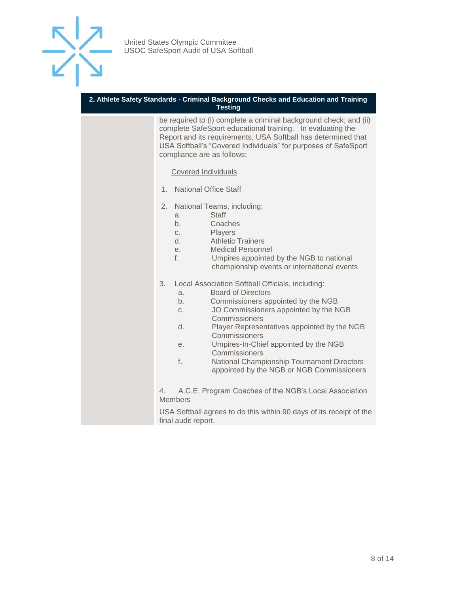

#### **2. Athlete Safety Standards - Criminal Background Checks and Education and Training Testing**

be required to (i) complete a criminal background check; and (ii) complete SafeSport educational training. In evaluating the Report and its requirements, USA Softball has determined that USA Softball's "Covered Individuals" for purposes of SafeSport compliance are as follows:

#### Covered Individuals

- 1. National Office Staff
- 2. National Teams, including:
	- a. Staff
	- b. Coaches
	- c. Players
	- d. Athletic Trainers
	- e. Medical Personnel
	- f. Umpires appointed by the NGB to national championship events or international events
- 3. Local Association Softball Officials, including:
	- a. Board of Directors
	- b. Commissioners appointed by the NGB
	- c. JO Commissioners appointed by the NGB Commissioners
	- d. Player Representatives appointed by the NGB **Commissioners**
	- e. Umpires-In-Chief appointed by the NGB Commissioners
	- f. National Championship Tournament Directors appointed by the NGB or NGB Commissioners

4. A.C.E. Program Coaches of the NGB's Local Association Members

USA Softball agrees to do this within 90 days of its receipt of the final audit report.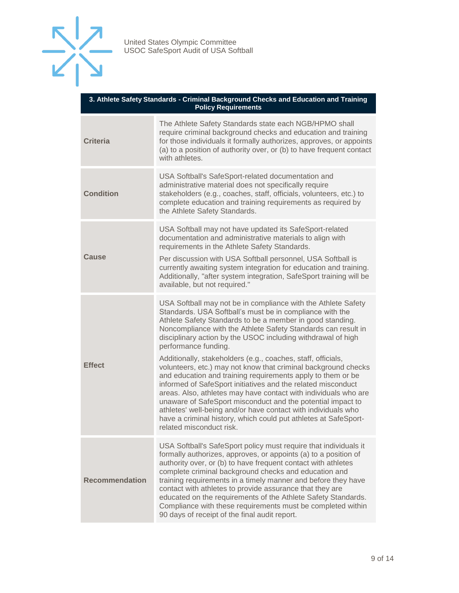

| 3. Athlete Safety Standards - Criminal Background Checks and Education and Training<br><b>Policy Requirements</b> |                                                                                                                                                                                                                                                                                                                                                                                                                                                                                                                                                                                                                                                                                                                                                                                                                                                                                                                    |
|-------------------------------------------------------------------------------------------------------------------|--------------------------------------------------------------------------------------------------------------------------------------------------------------------------------------------------------------------------------------------------------------------------------------------------------------------------------------------------------------------------------------------------------------------------------------------------------------------------------------------------------------------------------------------------------------------------------------------------------------------------------------------------------------------------------------------------------------------------------------------------------------------------------------------------------------------------------------------------------------------------------------------------------------------|
| <b>Criteria</b>                                                                                                   | The Athlete Safety Standards state each NGB/HPMO shall<br>require criminal background checks and education and training<br>for those individuals it formally authorizes, approves, or appoints<br>(a) to a position of authority over, or (b) to have frequent contact<br>with athletes.                                                                                                                                                                                                                                                                                                                                                                                                                                                                                                                                                                                                                           |
| <b>Condition</b>                                                                                                  | USA Softball's SafeSport-related documentation and<br>administrative material does not specifically require<br>stakeholders (e.g., coaches, staff, officials, volunteers, etc.) to<br>complete education and training requirements as required by<br>the Athlete Safety Standards.                                                                                                                                                                                                                                                                                                                                                                                                                                                                                                                                                                                                                                 |
| <b>Cause</b>                                                                                                      | USA Softball may not have updated its SafeSport-related<br>documentation and administrative materials to align with<br>requirements in the Athlete Safety Standards.<br>Per discussion with USA Softball personnel, USA Softball is<br>currently awaiting system integration for education and training.<br>Additionally, "after system integration, SafeSport training will be<br>available, but not required."                                                                                                                                                                                                                                                                                                                                                                                                                                                                                                   |
| <b>Effect</b>                                                                                                     | USA Softball may not be in compliance with the Athlete Safety<br>Standards. USA Softball's must be in compliance with the<br>Athlete Safety Standards to be a member in good standing.<br>Noncompliance with the Athlete Safety Standards can result in<br>disciplinary action by the USOC including withdrawal of high<br>performance funding.<br>Additionally, stakeholders (e.g., coaches, staff, officials,<br>volunteers, etc.) may not know that criminal background checks<br>and education and training requirements apply to them or be<br>informed of SafeSport initiatives and the related misconduct<br>areas. Also, athletes may have contact with individuals who are<br>unaware of SafeSport misconduct and the potential impact to<br>athletes' well-being and/or have contact with individuals who<br>have a criminal history, which could put athletes at SafeSport-<br>related misconduct risk. |
| <b>Recommendation</b>                                                                                             | USA Softball's SafeSport policy must require that individuals it<br>formally authorizes, approves, or appoints (a) to a position of<br>authority over, or (b) to have frequent contact with athletes<br>complete criminal background checks and education and<br>training requirements in a timely manner and before they have<br>contact with athletes to provide assurance that they are<br>educated on the requirements of the Athlete Safety Standards.<br>Compliance with these requirements must be completed within<br>90 days of receipt of the final audit report.                                                                                                                                                                                                                                                                                                                                        |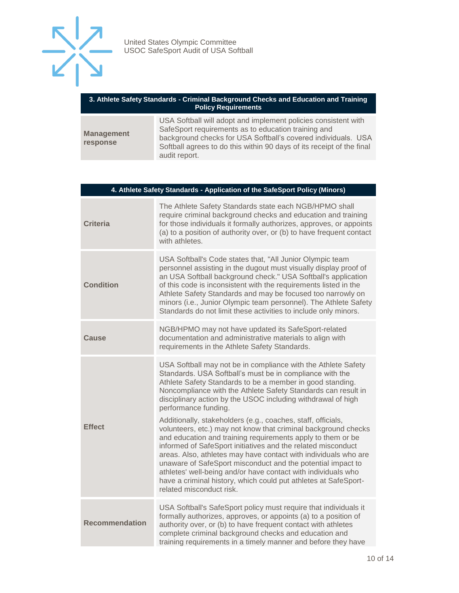

#### **3. Athlete Safety Standards - Criminal Background Checks and Education and Training Policy Requirements**

| <b>Management</b><br><b>response</b> | USA Softball will adopt and implement policies consistent with<br>SafeSport requirements as to education training and<br>background checks for USA Softball's covered individuals. USA<br>Softball agrees to do this within 90 days of its receipt of the final |
|--------------------------------------|-----------------------------------------------------------------------------------------------------------------------------------------------------------------------------------------------------------------------------------------------------------------|
|                                      | audit report.                                                                                                                                                                                                                                                   |

| 4. Athlete Safety Standards - Application of the SafeSport Policy (Minors) |                                                                                                                                                                                                                                                                                                                                                                                                                                                                                                                                                                 |
|----------------------------------------------------------------------------|-----------------------------------------------------------------------------------------------------------------------------------------------------------------------------------------------------------------------------------------------------------------------------------------------------------------------------------------------------------------------------------------------------------------------------------------------------------------------------------------------------------------------------------------------------------------|
| <b>Criteria</b>                                                            | The Athlete Safety Standards state each NGB/HPMO shall<br>require criminal background checks and education and training<br>for those individuals it formally authorizes, approves, or appoints<br>(a) to a position of authority over, or (b) to have frequent contact<br>with athletes.                                                                                                                                                                                                                                                                        |
| <b>Condition</b>                                                           | USA Softball's Code states that, "All Junior Olympic team<br>personnel assisting in the dugout must visually display proof of<br>an USA Softball background check." USA Softball's application<br>of this code is inconsistent with the requirements listed in the<br>Athlete Safety Standards and may be focused too narrowly on<br>minors (i.e., Junior Olympic team personnel). The Athlete Safety<br>Standards do not limit these activities to include only minors.                                                                                        |
| Cause                                                                      | NGB/HPMO may not have updated its SafeSport-related<br>documentation and administrative materials to align with<br>requirements in the Athlete Safety Standards.                                                                                                                                                                                                                                                                                                                                                                                                |
| <b>Effect</b>                                                              | USA Softball may not be in compliance with the Athlete Safety<br>Standards. USA Softball's must be in compliance with the<br>Athlete Safety Standards to be a member in good standing.<br>Noncompliance with the Athlete Safety Standards can result in<br>disciplinary action by the USOC including withdrawal of high<br>performance funding.                                                                                                                                                                                                                 |
|                                                                            | Additionally, stakeholders (e.g., coaches, staff, officials,<br>volunteers, etc.) may not know that criminal background checks<br>and education and training requirements apply to them or be<br>informed of SafeSport initiatives and the related misconduct<br>areas. Also, athletes may have contact with individuals who are<br>unaware of SafeSport misconduct and the potential impact to<br>athletes' well-being and/or have contact with individuals who<br>have a criminal history, which could put athletes at SafeSport-<br>related misconduct risk. |
| <b>Recommendation</b>                                                      | USA Softball's SafeSport policy must require that individuals it<br>formally authorizes, approves, or appoints (a) to a position of<br>authority over, or (b) to have frequent contact with athletes<br>complete criminal background checks and education and<br>training requirements in a timely manner and before they have                                                                                                                                                                                                                                  |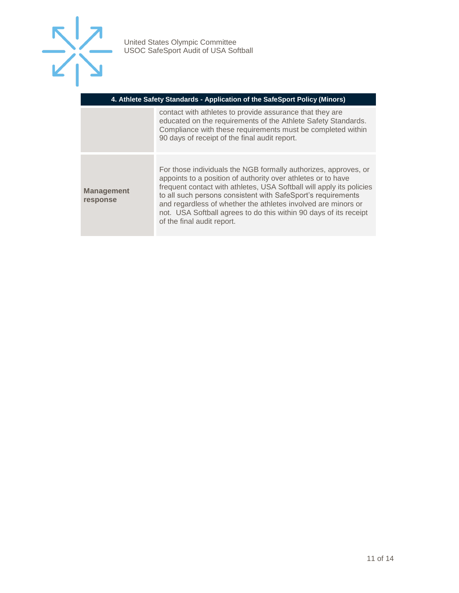

| 4. Athlete Safety Standards - Application of the SafeSport Policy (Minors) |                                                                                                                                                                                                                                                                                                                                                                                                                                             |  |
|----------------------------------------------------------------------------|---------------------------------------------------------------------------------------------------------------------------------------------------------------------------------------------------------------------------------------------------------------------------------------------------------------------------------------------------------------------------------------------------------------------------------------------|--|
|                                                                            | contact with athletes to provide assurance that they are<br>educated on the requirements of the Athlete Safety Standards.<br>Compliance with these requirements must be completed within<br>90 days of receipt of the final audit report.                                                                                                                                                                                                   |  |
| <b>Management</b><br>response                                              | For those individuals the NGB formally authorizes, approves, or<br>appoints to a position of authority over athletes or to have<br>frequent contact with athletes, USA Softball will apply its policies<br>to all such persons consistent with SafeSport's requirements<br>and regardless of whether the athletes involved are minors or<br>not. USA Softball agrees to do this within 90 days of its receipt<br>of the final audit report. |  |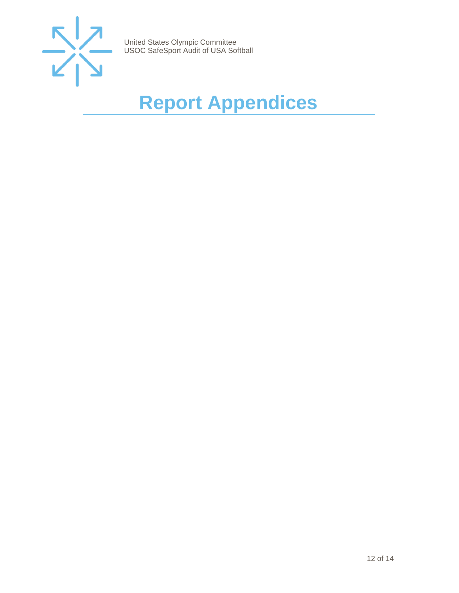

# <span id="page-11-0"></span>**Report Appendices**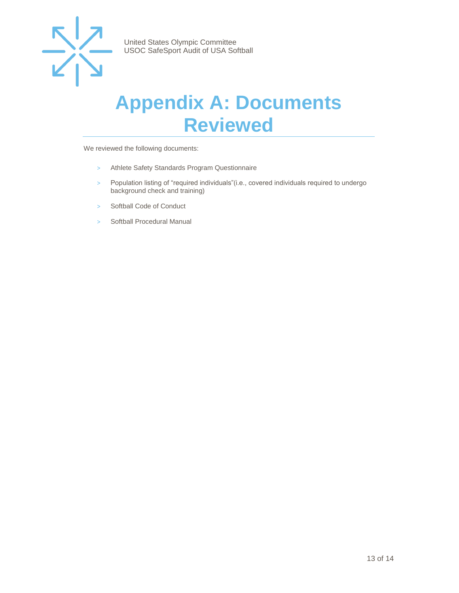

### <span id="page-12-0"></span>**Appendix A: Documents Reviewed**

We reviewed the following documents:

- > Athlete Safety Standards Program Questionnaire
- > Population listing of "required individuals"(i.e., covered individuals required to undergo background check and training)
- > Softball Code of Conduct
- > Softball Procedural Manual